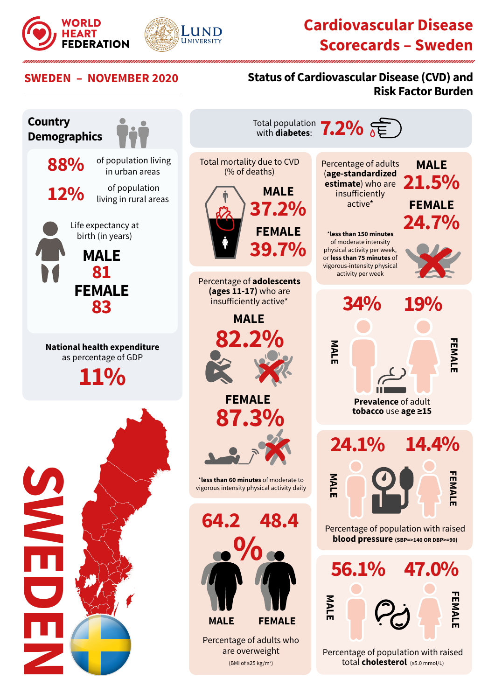



## **Cardiovascular Disease Scorecards – Sweden**

#### **SWEDEN – NOVEMBER 2020 Status of Cardiovascular Disease (CVD) and Risk Factor Burden**

Percentage of adults (**age-standardized estimate**) who are insufficiently active\*

**MALE**

\***less than 150 minutes** of moderate intensity physical activity per week, or **less than 75 minutes** of vigorous-intensity physical activity per week

**MALE**

**MALE**

**MALE**

**34%**

**24.1%**

**Prevalence** of adult **tobacco** use **age ≥15**

Percentage of population with raised **blood pressure (SBP=>140 OR DBP>=90)**

**56.1% 47.0%**

Percentage of population with raised total **cholesterol** (≥5.0 mmol/L)

**FEMALE**

FEMALE

**FEMALE**

FEMAL

**FEMALE**

**FEMALI** 

**14.4%**

**19%**

**MALE**

**21.5%** 

**FEMALE**

**24.7%**